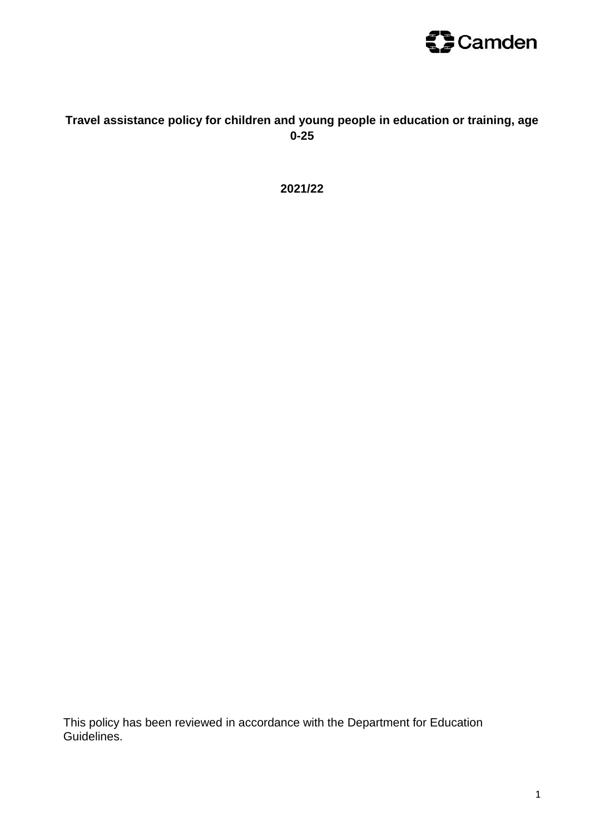

## **Travel assistance policy for children and young people in education or training, age 0-25**

**2021/22**

This policy has been reviewed in accordance with the Department for Education Guidelines.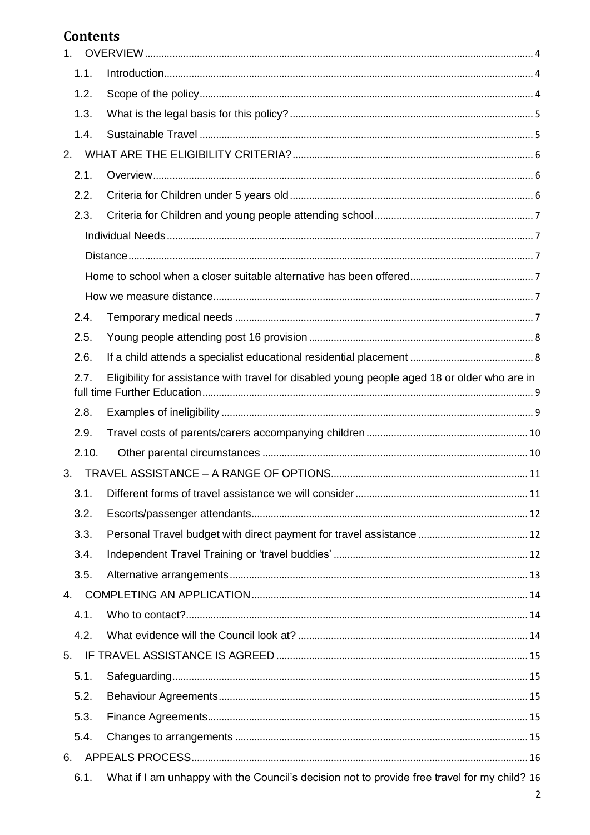# **Contents**

| 1 <sub>1</sub> |                                                                                              |  |  |
|----------------|----------------------------------------------------------------------------------------------|--|--|
| 1.1.           |                                                                                              |  |  |
| 1.2.           |                                                                                              |  |  |
| 1.3.           |                                                                                              |  |  |
| 1.4.           |                                                                                              |  |  |
| 2.             |                                                                                              |  |  |
| 2.1.           |                                                                                              |  |  |
| 2.2.           |                                                                                              |  |  |
| 2.3.           |                                                                                              |  |  |
|                |                                                                                              |  |  |
|                |                                                                                              |  |  |
|                |                                                                                              |  |  |
|                |                                                                                              |  |  |
| 2.4.           |                                                                                              |  |  |
| 2.5.           |                                                                                              |  |  |
| 2.6.           |                                                                                              |  |  |
| 2.7.           | Eligibility for assistance with travel for disabled young people aged 18 or older who are in |  |  |
|                |                                                                                              |  |  |
| 2.8.           |                                                                                              |  |  |
| 2.9.           |                                                                                              |  |  |
| 2.10.          |                                                                                              |  |  |
| 3.             |                                                                                              |  |  |
|                |                                                                                              |  |  |
| 3.2.           |                                                                                              |  |  |
| 3.3.           |                                                                                              |  |  |
| 3.4.           |                                                                                              |  |  |
| 3.5.           |                                                                                              |  |  |
| 4.             |                                                                                              |  |  |
| 4.1.           |                                                                                              |  |  |
| 4.2.           |                                                                                              |  |  |
| 5.             |                                                                                              |  |  |
| 5.1.           |                                                                                              |  |  |
| 5.2.           |                                                                                              |  |  |
| 5.3.           |                                                                                              |  |  |
| 5.4.           |                                                                                              |  |  |
| 6.             |                                                                                              |  |  |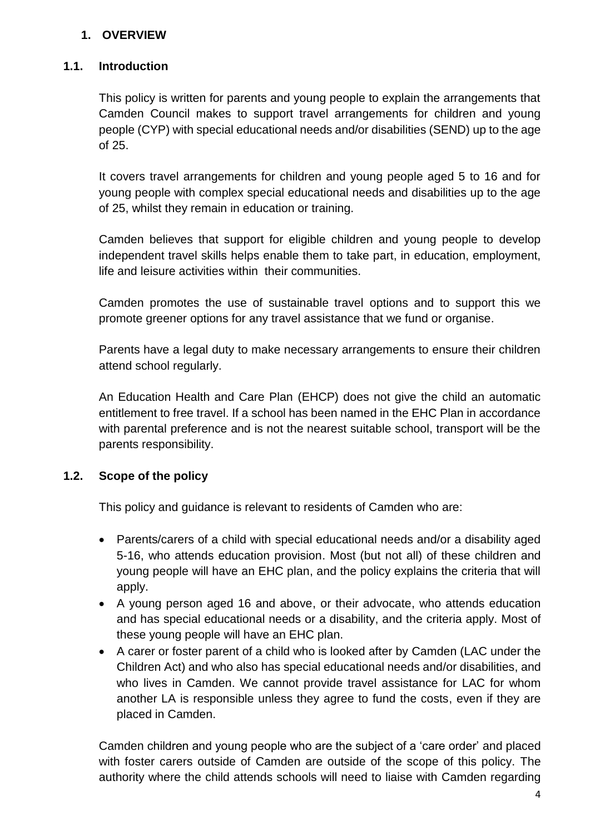## <span id="page-3-0"></span>**1. OVERVIEW**

#### <span id="page-3-1"></span>**1.1. Introduction**

This policy is written for parents and young people to explain the arrangements that Camden Council makes to support travel arrangements for children and young people (CYP) with special educational needs and/or disabilities (SEND) up to the age of 25.

It covers travel arrangements for children and young people aged 5 to 16 and for young people with complex special educational needs and disabilities up to the age of 25, whilst they remain in education or training.

Camden believes that support for eligible children and young people to develop independent travel skills helps enable them to take part, in education, employment, life and leisure activities within their communities.

Camden promotes the use of sustainable travel options and to support this we promote greener options for any travel assistance that we fund or organise.

Parents have a legal duty to make necessary arrangements to ensure their children attend school regularly.

An Education Health and Care Plan (EHCP) does not give the child an automatic entitlement to free travel. If a school has been named in the EHC Plan in accordance with parental preference and is not the nearest suitable school, transport will be the parents responsibility.

## <span id="page-3-2"></span>**1.2. Scope of the policy**

This policy and guidance is relevant to residents of Camden who are:

- Parents/carers of a child with special educational needs and/or a disability aged 5-16, who attends education provision. Most (but not all) of these children and young people will have an EHC plan, and the policy explains the criteria that will apply.
- A young person aged 16 and above, or their advocate, who attends education and has special educational needs or a disability, and the criteria apply. Most of these young people will have an EHC plan.
- A carer or foster parent of a child who is looked after by Camden (LAC under the Children Act) and who also has special educational needs and/or disabilities, and who lives in Camden. We cannot provide travel assistance for LAC for whom another LA is responsible unless they agree to fund the costs, even if they are placed in Camden.

Camden children and young people who are the subject of a 'care order' and placed with foster carers outside of Camden are outside of the scope of this policy. The authority where the child attends schools will need to liaise with Camden regarding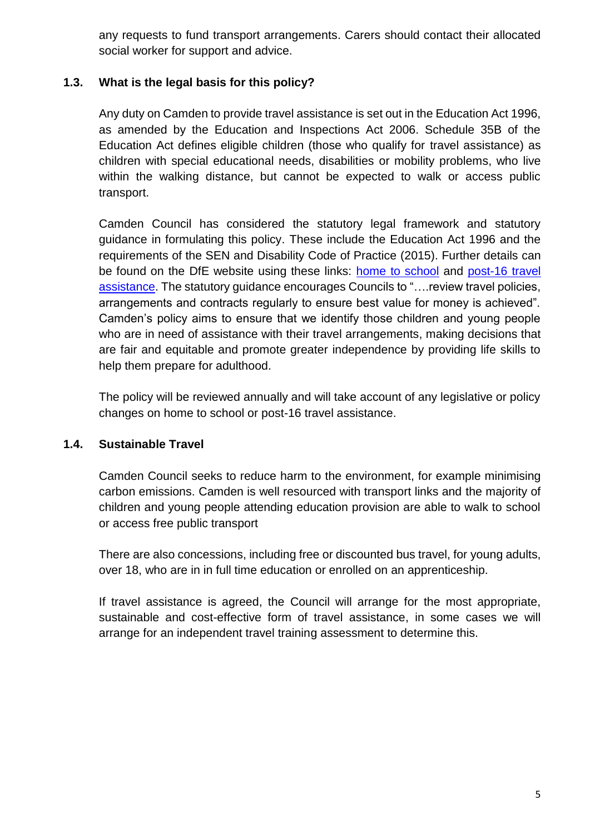any requests to fund transport arrangements. Carers should contact their allocated social worker for support and advice.

## <span id="page-4-0"></span>**1.3. What is the legal basis for this policy?**

Any duty on Camden to provide travel assistance is set out in the Education Act 1996, as amended by the Education and Inspections Act 2006. Schedule 35B of the Education Act defines eligible children (those who qualify for travel assistance) as children with special educational needs, disabilities or mobility problems, who live within the walking distance, but cannot be expected to walk or access public transport.

Camden Council has considered the statutory legal framework and statutory guidance in formulating this policy. These include the Education Act 1996 and the requirements of the SEN and Disability Code of Practice (2015). Further details can be found on the DfE website using these links: [home to school](https://www.gov.uk/government/publications/home-to-school-travel-and-transport-guidance) and [post-16 travel](https://www.gov.uk/government/publications/post-16-transport-to-education-and-training)  [assistance.](https://www.gov.uk/government/publications/post-16-transport-to-education-and-training) The statutory guidance encourages Councils to "….review travel policies, arrangements and contracts regularly to ensure best value for money is achieved". Camden's policy aims to ensure that we identify those children and young people who are in need of assistance with their travel arrangements, making decisions that are fair and equitable and promote greater independence by providing life skills to help them prepare for adulthood.

The policy will be reviewed annually and will take account of any legislative or policy changes on home to school or post-16 travel assistance.

## <span id="page-4-1"></span>**1.4. Sustainable Travel**

Camden Council seeks to reduce harm to the environment, for example minimising carbon emissions. Camden is well resourced with transport links and the majority of children and young people attending education provision are able to walk to school or access free public transport

There are also concessions, including free or discounted bus travel, for young adults, over 18, who are in in full time education or enrolled on an apprenticeship.

If travel assistance is agreed, the Council will arrange for the most appropriate, sustainable and cost-effective form of travel assistance, in some cases we will arrange for an independent travel training assessment to determine this.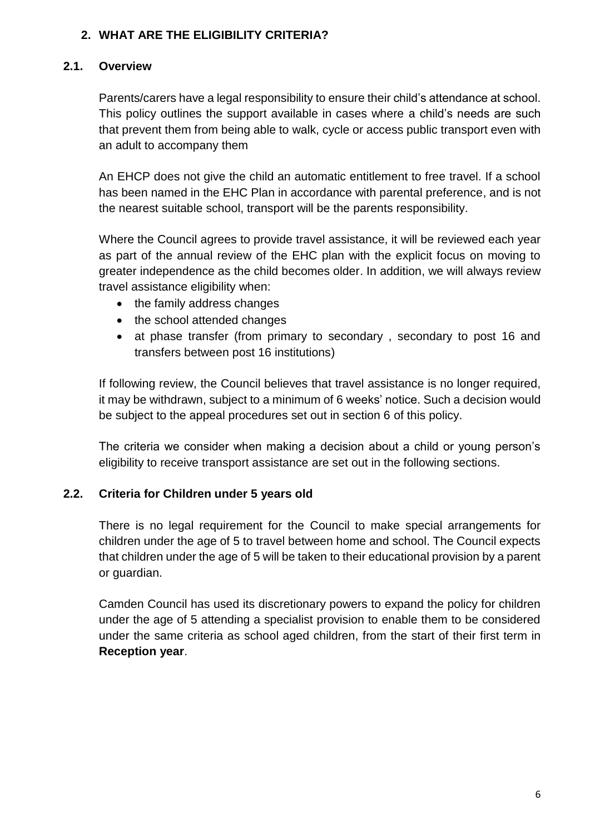## <span id="page-5-0"></span>**2. WHAT ARE THE ELIGIBILITY CRITERIA?**

## <span id="page-5-1"></span>**2.1. Overview**

Parents/carers have a legal responsibility to ensure their child's attendance at school. This policy outlines the support available in cases where a child's needs are such that prevent them from being able to walk, cycle or access public transport even with an adult to accompany them

An EHCP does not give the child an automatic entitlement to free travel. If a school has been named in the EHC Plan in accordance with parental preference, and is not the nearest suitable school, transport will be the parents responsibility.

Where the Council agrees to provide travel assistance, it will be reviewed each year as part of the annual review of the EHC plan with the explicit focus on moving to greater independence as the child becomes older. In addition, we will always review travel assistance eligibility when:

- the family address changes
- the school attended changes
- at phase transfer (from primary to secondary, secondary to post 16 and transfers between post 16 institutions)

If following review, the Council believes that travel assistance is no longer required, it may be withdrawn, subject to a minimum of 6 weeks' notice. Such a decision would be subject to the appeal procedures set out in section 6 of this policy.

The criteria we consider when making a decision about a child or young person's eligibility to receive transport assistance are set out in the following sections.

# <span id="page-5-2"></span>**2.2. Criteria for Children under 5 years old**

There is no legal requirement for the Council to make special arrangements for children under the age of 5 to travel between home and school. The Council expects that children under the age of 5 will be taken to their educational provision by a parent or guardian.

Camden Council has used its discretionary powers to expand the policy for children under the age of 5 attending a specialist provision to enable them to be considered under the same criteria as school aged children, from the start of their first term in **Reception year**.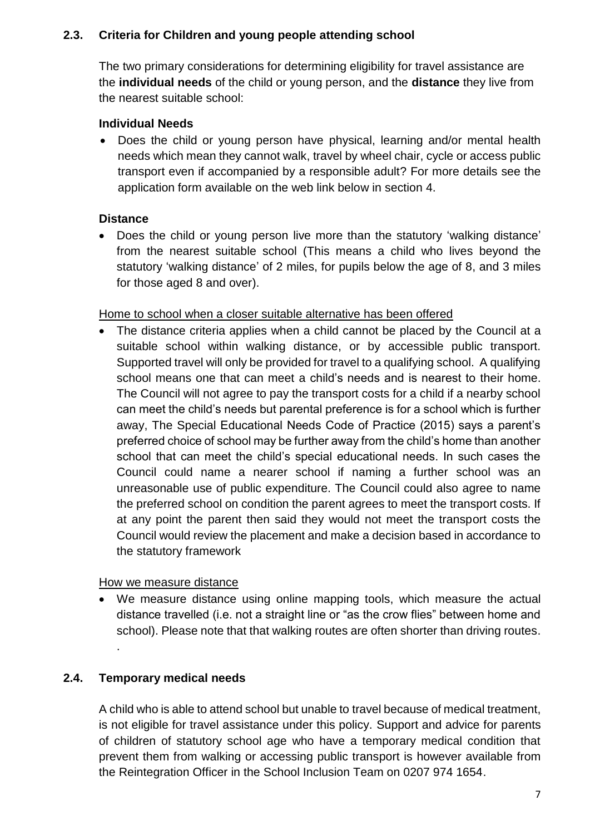## <span id="page-6-0"></span>**2.3. Criteria for Children and young people attending school**

The two primary considerations for determining eligibility for travel assistance are the **individual needs** of the child or young person, and the **distance** they live from the nearest suitable school:

## <span id="page-6-1"></span>**Individual Needs**

 Does the child or young person have physical, learning and/or mental health needs which mean they cannot walk, travel by wheel chair, cycle or access public transport even if accompanied by a responsible adult? For more details see the application form available on the web link below in section 4.

## <span id="page-6-2"></span>**Distance**

 Does the child or young person live more than the statutory 'walking distance' from the nearest suitable school (This means a child who lives beyond the statutory 'walking distance' of 2 miles, for pupils below the age of 8, and 3 miles for those aged 8 and over).

## <span id="page-6-3"></span>Home to school when a closer suitable alternative has been offered

 The distance criteria applies when a child cannot be placed by the Council at a suitable school within walking distance, or by accessible public transport. Supported travel will only be provided for travel to a qualifying school. A qualifying school means one that can meet a child's needs and is nearest to their home. The Council will not agree to pay the transport costs for a child if a nearby school can meet the child's needs but parental preference is for a school which is further away, The Special Educational Needs Code of Practice (2015) says a parent's preferred choice of school may be further away from the child's home than another school that can meet the child's special educational needs. In such cases the Council could name a nearer school if naming a further school was an unreasonable use of public expenditure. The Council could also agree to name the preferred school on condition the parent agrees to meet the transport costs. If at any point the parent then said they would not meet the transport costs the Council would review the placement and make a decision based in accordance to the statutory framework

<span id="page-6-4"></span>How we measure distance

 We measure distance using online mapping tools, which measure the actual distance travelled (i.e. not a straight line or "as the crow flies" between home and school). Please note that that walking routes are often shorter than driving routes. .

# <span id="page-6-5"></span>**2.4. Temporary medical needs**

A child who is able to attend school but unable to travel because of medical treatment, is not eligible for travel assistance under this policy. Support and advice for parents of children of statutory school age who have a temporary medical condition that prevent them from walking or accessing public transport is however available from the Reintegration Officer in the School Inclusion Team on 0207 974 1654.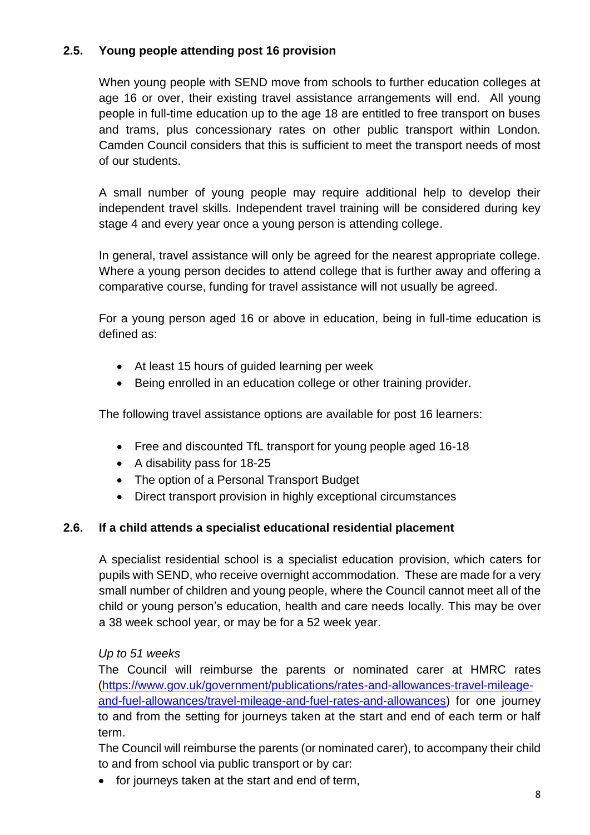# <span id="page-7-0"></span>**2.5. Young people attending post 16 provision**

When young people with SEND move from schools to further education colleges at age 16 or over, their existing travel assistance arrangements will end. All young people in full-time education up to the age 18 are entitled to free transport on buses and trams, plus concessionary rates on other public transport within London. Camden Council considers that this is sufficient to meet the transport needs of most of our students.

A small number of young people may require additional help to develop their independent travel skills. Independent travel training will be considered during key stage 4 and every year once a young person is attending college.

In general, travel assistance will only be agreed for the nearest appropriate college. Where a young person decides to attend college that is further away and offering a comparative course, funding for travel assistance will not usually be agreed.

For a young person aged 16 or above in education, being in full-time education is defined as:

- At least 15 hours of guided learning per week
- Being enrolled in an education college or other training provider.

The following travel assistance options are available for post 16 learners:

- Free and discounted TfL transport for young people aged 16-18
- A disability pass for 18-25
- The option of a Personal Transport Budget
- Direct transport provision in highly exceptional circumstances

## <span id="page-7-1"></span>**2.6. If a child attends a specialist educational residential placement**

A specialist residential school is a specialist education provision, which caters for pupils with SEND, who receive overnight accommodation. These are made for a very small number of children and young people, where the Council cannot meet all of the child or young person's education, health and care needs locally. This may be over a 38 week school year, or may be for a 52 week year.

#### *Up to 51 weeks*

The Council will reimburse the parents or nominated carer at HMRC rates [\(https://www.gov.uk/government/publications/rates-and-allowances-travel-mileage](https://www.gov.uk/government/publications/rates-and-allowances-travel-mileage-and-fuel-allowances/travel-mileage-and-fuel-rates-and-allowances)[and-fuel-allowances/travel-mileage-and-fuel-rates-and-allowances\)](https://www.gov.uk/government/publications/rates-and-allowances-travel-mileage-and-fuel-allowances/travel-mileage-and-fuel-rates-and-allowances) for one journey to and from the setting for journeys taken at the start and end of each term or half term.

The Council will reimburse the parents (or nominated carer), to accompany their child to and from school via public transport or by car:

• for journeys taken at the start and end of term,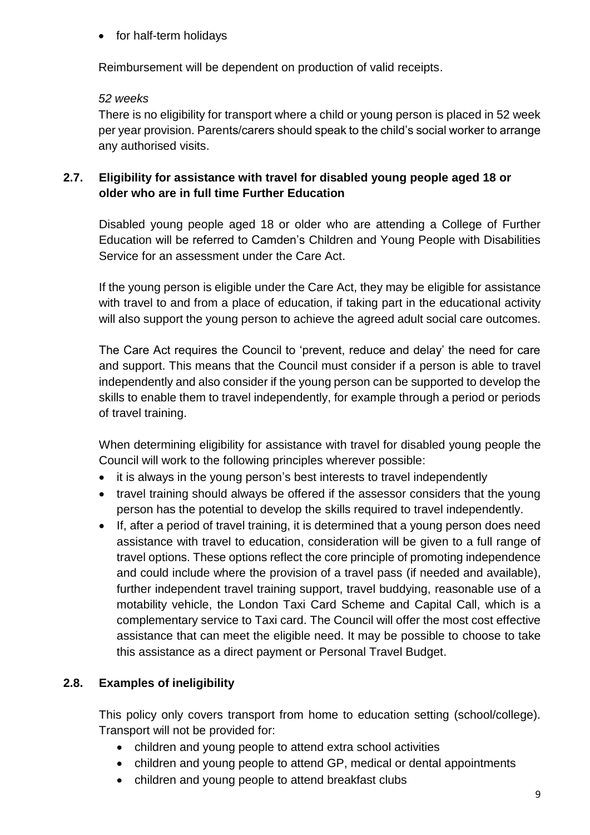for half-term holidays

Reimbursement will be dependent on production of valid receipts.

## *52 weeks*

There is no eligibility for transport where a child or young person is placed in 52 week per year provision. Parents/carers should speak to the child's social worker to arrange any authorised visits.

## <span id="page-8-0"></span>**2.7. Eligibility for assistance with travel for disabled young people aged 18 or older who are in full time Further Education**

Disabled young people aged 18 or older who are attending a College of Further Education will be referred to Camden's Children and Young People with Disabilities Service for an assessment under the Care Act.

If the young person is eligible under the Care Act, they may be eligible for assistance with travel to and from a place of education, if taking part in the educational activity will also support the young person to achieve the agreed adult social care outcomes.

The Care Act requires the Council to 'prevent, reduce and delay' the need for care and support. This means that the Council must consider if a person is able to travel independently and also consider if the young person can be supported to develop the skills to enable them to travel independently, for example through a period or periods of travel training.

When determining eligibility for assistance with travel for disabled young people the Council will work to the following principles wherever possible:

- it is always in the young person's best interests to travel independently
- travel training should always be offered if the assessor considers that the young person has the potential to develop the skills required to travel independently.
- If, after a period of travel training, it is determined that a young person does need assistance with travel to education, consideration will be given to a full range of travel options. These options reflect the core principle of promoting independence and could include where the provision of a travel pass (if needed and available), further independent travel training support, travel buddying, reasonable use of a motability vehicle, the London Taxi Card Scheme and Capital Call, which is a complementary service to Taxi card. The Council will offer the most cost effective assistance that can meet the eligible need. It may be possible to choose to take this assistance as a direct payment or Personal Travel Budget.

# <span id="page-8-1"></span>**2.8. Examples of ineligibility**

This policy only covers transport from home to education setting (school/college). Transport will not be provided for:

- children and young people to attend extra school activities
- children and young people to attend GP, medical or dental appointments
- children and young people to attend breakfast clubs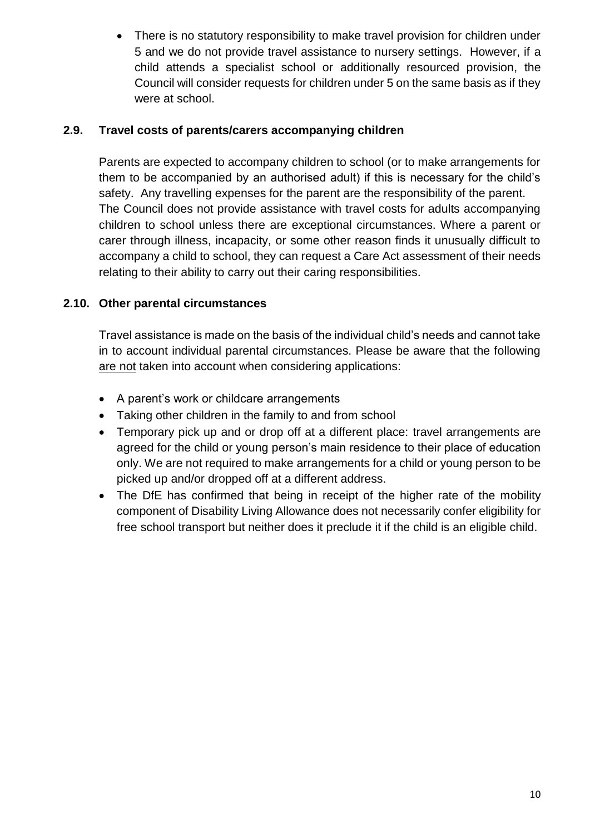There is no statutory responsibility to make travel provision for children under 5 and we do not provide travel assistance to nursery settings. However, if a child attends a specialist school or additionally resourced provision, the Council will consider requests for children under 5 on the same basis as if they were at school.

## <span id="page-9-0"></span>**2.9. Travel costs of parents/carers accompanying children**

Parents are expected to accompany children to school (or to make arrangements for them to be accompanied by an authorised adult) if this is necessary for the child's safety. Any travelling expenses for the parent are the responsibility of the parent. The Council does not provide assistance with travel costs for adults accompanying children to school unless there are exceptional circumstances. Where a parent or carer through illness, incapacity, or some other reason finds it unusually difficult to accompany a child to school, they can request a Care Act assessment of their needs relating to their ability to carry out their caring responsibilities.

# <span id="page-9-1"></span>**2.10. Other parental circumstances**

Travel assistance is made on the basis of the individual child's needs and cannot take in to account individual parental circumstances. Please be aware that the following are not taken into account when considering applications:

- A parent's work or childcare arrangements
- Taking other children in the family to and from school
- Temporary pick up and or drop off at a different place: travel arrangements are agreed for the child or young person's main residence to their place of education only. We are not required to make arrangements for a child or young person to be picked up and/or dropped off at a different address.
- The DfE has confirmed that being in receipt of the higher rate of the mobility component of Disability Living Allowance does not necessarily confer eligibility for free school transport but neither does it preclude it if the child is an eligible child.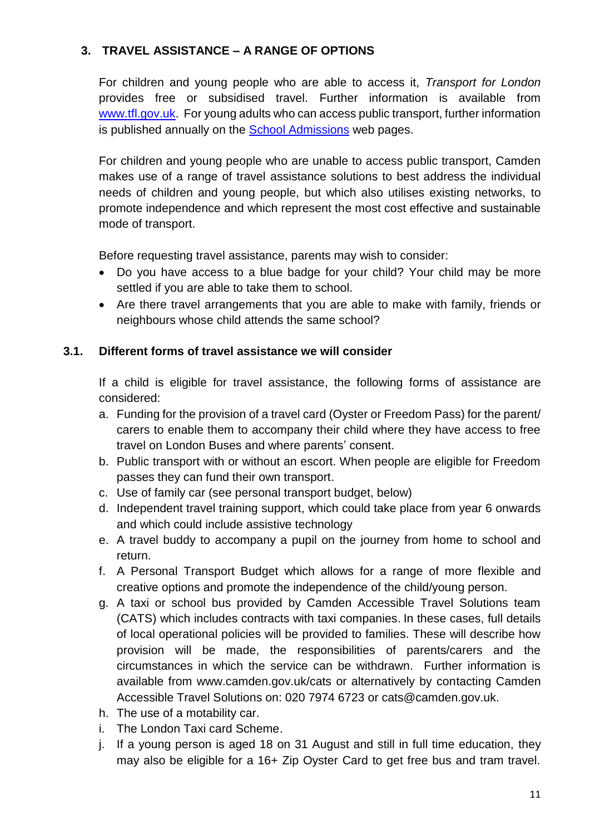# <span id="page-10-0"></span>**3. TRAVEL ASSISTANCE – A RANGE OF OPTIONS**

For children and young people who are able to access it, *Transport for London* provides free or subsidised travel. Further information is available from [www.tfl.gov.uk.](http://www.tfl.gov.uk/) For young adults who can access public transport, further information is published annually on the [School Admissions](https://beta.camden.gov.uk/school-admissions-general?inheritRedirect=true) web pages.

For children and young people who are unable to access public transport, Camden makes use of a range of travel assistance solutions to best address the individual needs of children and young people, but which also utilises existing networks, to promote independence and which represent the most cost effective and sustainable mode of transport.

Before requesting travel assistance, parents may wish to consider:

- Do you have access to a blue badge for your child? Your child may be more settled if you are able to take them to school.
- Are there travel arrangements that you are able to make with family, friends or neighbours whose child attends the same school?

#### <span id="page-10-1"></span>**3.1. Different forms of travel assistance we will consider**

If a child is eligible for travel assistance, the following forms of assistance are considered:

- a. Funding for the provision of a travel card (Oyster or Freedom Pass) for the parent/ carers to enable them to accompany their child where they have access to free travel on London Buses and where parents' consent.
- b. Public transport with or without an escort. When people are eligible for Freedom passes they can fund their own transport.
- c. Use of family car (see personal transport budget, below)
- d. Independent travel training support, which could take place from year 6 onwards and which could include assistive technology
- e. A travel buddy to accompany a pupil on the journey from home to school and return.
- f. A Personal Transport Budget which allows for a range of more flexible and creative options and promote the independence of the child/young person.
- g. A taxi or school bus provided by Camden Accessible Travel Solutions team (CATS) which includes contracts with taxi companies. In these cases, full details of local operational policies will be provided to families. These will describe how provision will be made, the responsibilities of parents/carers and the circumstances in which the service can be withdrawn. Further information is available from www.camden.gov.uk/cats or alternatively by contacting Camden Accessible Travel Solutions on: 020 7974 6723 or cats@camden.gov.uk.
- h. The use of a motability car.
- i. The London Taxi card Scheme.
- j. If a young person is aged 18 on 31 August and still in full time education, they may also be eligible for a 16+ Zip Oyster Card to get free bus and tram travel.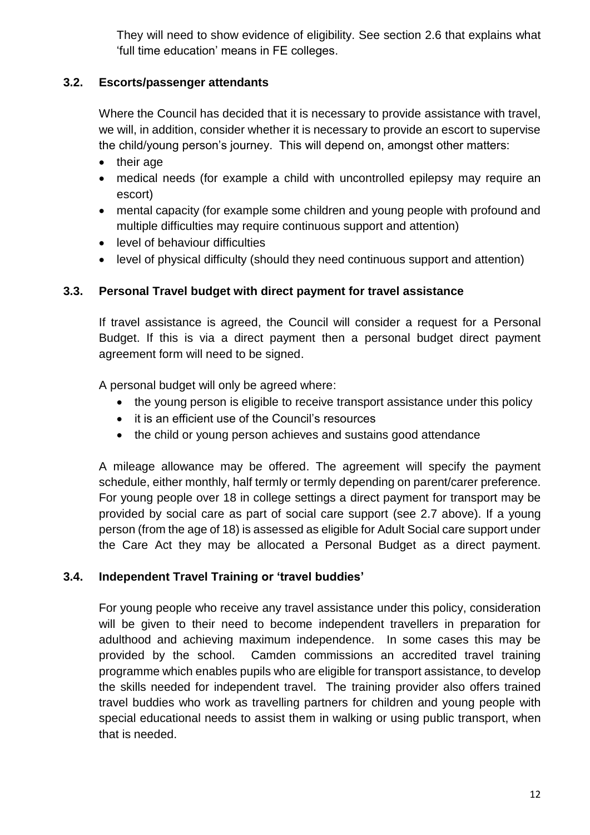They will need to show evidence of eligibility. See section 2.6 that explains what 'full time education' means in FE colleges.

## <span id="page-11-0"></span>**3.2. Escorts/passenger attendants**

Where the Council has decided that it is necessary to provide assistance with travel, we will, in addition, consider whether it is necessary to provide an escort to supervise the child/young person's journey. This will depend on, amongst other matters:

- their age
- medical needs (for example a child with uncontrolled epilepsy may require an escort)
- mental capacity (for example some children and young people with profound and multiple difficulties may require continuous support and attention)
- level of behaviour difficulties
- level of physical difficulty (should they need continuous support and attention)

## <span id="page-11-1"></span>**3.3. Personal Travel budget with direct payment for travel assistance**

If travel assistance is agreed, the Council will consider a request for a Personal Budget. If this is via a direct payment then a personal budget direct payment agreement form will need to be signed.

A personal budget will only be agreed where:

- the young person is eligible to receive transport assistance under this policy
- it is an efficient use of the Council's resources
- the child or young person achieves and sustains good attendance

A mileage allowance may be offered. The agreement will specify the payment schedule, either monthly, half termly or termly depending on parent/carer preference. For young people over 18 in college settings a direct payment for transport may be provided by social care as part of social care support (see 2.7 above). If a young person (from the age of 18) is assessed as eligible for Adult Social care support under the Care Act they may be allocated a Personal Budget as a direct payment.

## <span id="page-11-2"></span>**3.4. Independent Travel Training or 'travel buddies'**

For young people who receive any travel assistance under this policy, consideration will be given to their need to become independent travellers in preparation for adulthood and achieving maximum independence. In some cases this may be provided by the school. Camden commissions an accredited travel training programme which enables pupils who are eligible for transport assistance, to develop the skills needed for independent travel. The training provider also offers trained travel buddies who work as travelling partners for children and young people with special educational needs to assist them in walking or using public transport, when that is needed.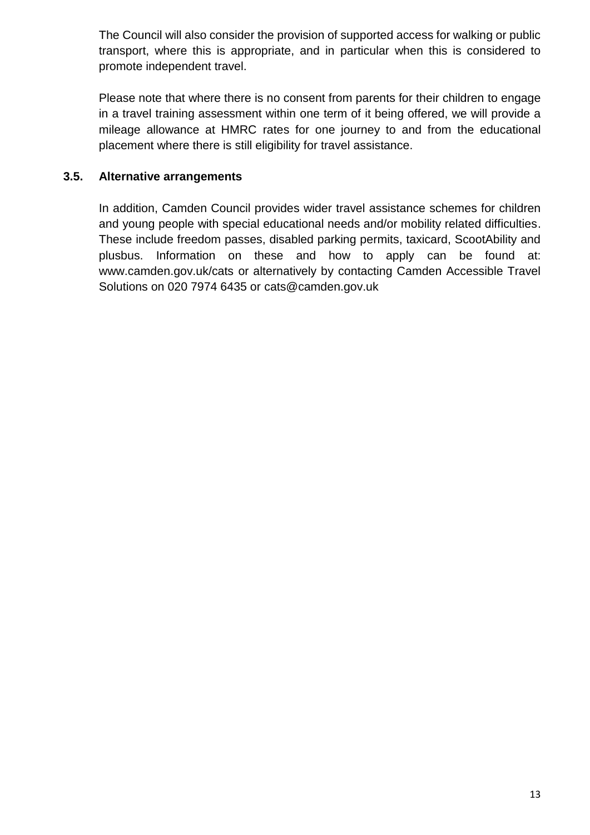The Council will also consider the provision of supported access for walking or public transport, where this is appropriate, and in particular when this is considered to promote independent travel.

Please note that where there is no consent from parents for their children to engage in a travel training assessment within one term of it being offered, we will provide a mileage allowance at HMRC rates for one journey to and from the educational placement where there is still eligibility for travel assistance.

## <span id="page-12-0"></span>**3.5. Alternative arrangements**

In addition, Camden Council provides wider travel assistance schemes for children and young people with special educational needs and/or mobility related difficulties. These include freedom passes, disabled parking permits, taxicard, ScootAbility and plusbus. Information on these and how to apply can be found at: [www.camden.gov.uk/cats](http://www.camden.gov.uk/cats) or alternatively by contacting Camden Accessible Travel Solutions on 020 7974 6435 or [cats@camden.gov.uk](mailto:cats@camden.gov.uk)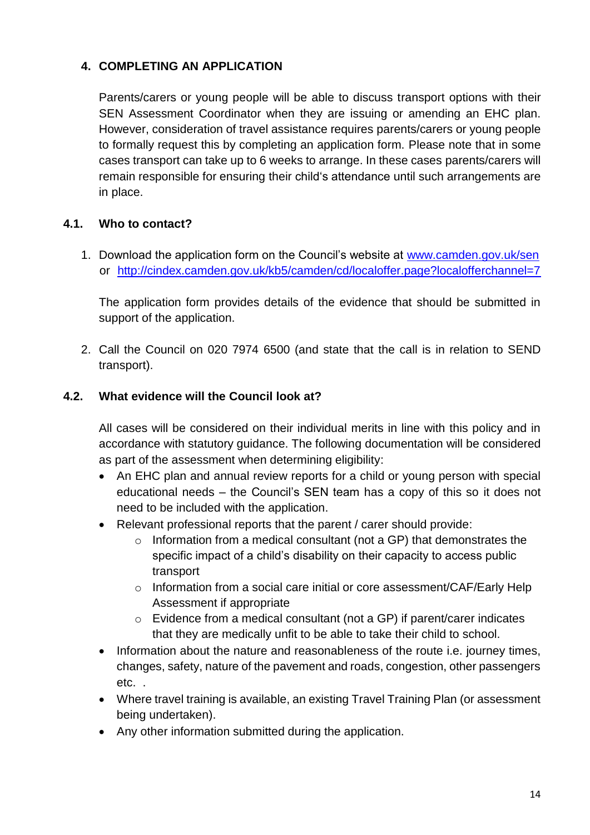## <span id="page-13-0"></span>**4. COMPLETING AN APPLICATION**

Parents/carers or young people will be able to discuss transport options with their SEN Assessment Coordinator when they are issuing or amending an EHC plan. However, consideration of travel assistance requires parents/carers or young people to formally request this by completing an application form. Please note that in some cases transport can take up to 6 weeks to arrange. In these cases parents/carers will remain responsible for ensuring their child's attendance until such arrangements are in place.

## <span id="page-13-1"></span>**4.1. Who to contact?**

1. Download the application form on the Council's website at [www.camden.gov.uk/sen](http://www.camden.gov.uk/sen)  or <http://cindex.camden.gov.uk/kb5/camden/cd/localoffer.page?localofferchannel=7>

The application form provides details of the evidence that should be submitted in support of the application.

2. Call the Council on 020 7974 6500 (and state that the call is in relation to SEND transport).

## <span id="page-13-2"></span>**4.2. What evidence will the Council look at?**

All cases will be considered on their individual merits in line with this policy and in accordance with statutory guidance. The following documentation will be considered as part of the assessment when determining eligibility:

- An EHC plan and annual review reports for a child or young person with special educational needs – the Council's SEN team has a copy of this so it does not need to be included with the application.
- Relevant professional reports that the parent / carer should provide:
	- o Information from a medical consultant (not a GP) that demonstrates the specific impact of a child's disability on their capacity to access public transport
	- o Information from a social care initial or core assessment/CAF/Early Help Assessment if appropriate
	- o Evidence from a medical consultant (not a GP) if parent/carer indicates that they are medically unfit to be able to take their child to school.
- Information about the nature and reasonableness of the route i.e. journey times, changes, safety, nature of the pavement and roads, congestion, other passengers etc. .
- Where travel training is available, an existing Travel Training Plan (or assessment being undertaken).
- Any other information submitted during the application.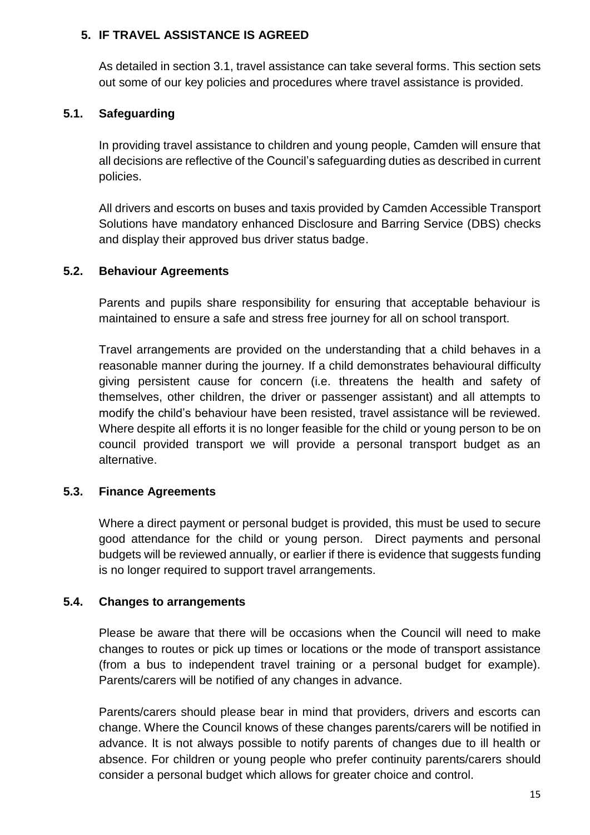## <span id="page-14-0"></span>**5. IF TRAVEL ASSISTANCE IS AGREED**

As detailed in section 3.1, travel assistance can take several forms. This section sets out some of our key policies and procedures where travel assistance is provided.

#### <span id="page-14-1"></span>**5.1. Safeguarding**

In providing travel assistance to children and young people, Camden will ensure that all decisions are reflective of the Council's safeguarding duties as described in current policies.

All drivers and escorts on buses and taxis provided by Camden Accessible Transport Solutions have mandatory enhanced Disclosure and Barring Service (DBS) checks and display their approved bus driver status badge.

#### <span id="page-14-2"></span>**5.2. Behaviour Agreements**

Parents and pupils share responsibility for ensuring that acceptable behaviour is maintained to ensure a safe and stress free journey for all on school transport.

Travel arrangements are provided on the understanding that a child behaves in a reasonable manner during the journey. If a child demonstrates behavioural difficulty giving persistent cause for concern (i.e. threatens the health and safety of themselves, other children, the driver or passenger assistant) and all attempts to modify the child's behaviour have been resisted, travel assistance will be reviewed. Where despite all efforts it is no longer feasible for the child or young person to be on council provided transport we will provide a personal transport budget as an alternative.

## <span id="page-14-3"></span>**5.3. Finance Agreements**

Where a direct payment or personal budget is provided, this must be used to secure good attendance for the child or young person. Direct payments and personal budgets will be reviewed annually, or earlier if there is evidence that suggests funding is no longer required to support travel arrangements.

#### <span id="page-14-4"></span>**5.4. Changes to arrangements**

Please be aware that there will be occasions when the Council will need to make changes to routes or pick up times or locations or the mode of transport assistance (from a bus to independent travel training or a personal budget for example). Parents/carers will be notified of any changes in advance.

Parents/carers should please bear in mind that providers, drivers and escorts can change. Where the Council knows of these changes parents/carers will be notified in advance. It is not always possible to notify parents of changes due to ill health or absence. For children or young people who prefer continuity parents/carers should consider a personal budget which allows for greater choice and control.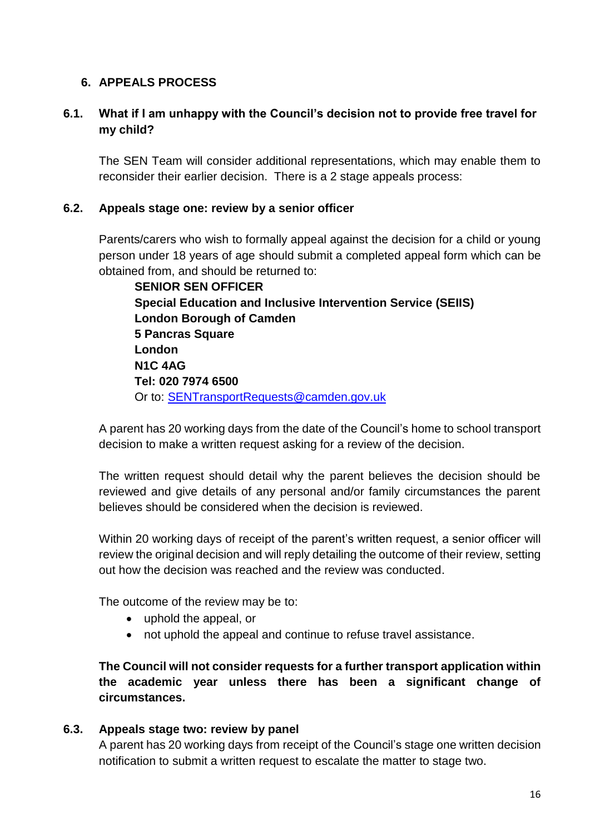## <span id="page-15-0"></span>**6. APPEALS PROCESS**

## <span id="page-15-1"></span>**6.1. What if I am unhappy with the Council's decision not to provide free travel for my child?**

The SEN Team will consider additional representations, which may enable them to reconsider their earlier decision. There is a 2 stage appeals process:

#### <span id="page-15-2"></span>**6.2. Appeals stage one: review by a senior officer**

Parents/carers who wish to formally appeal against the decision for a child or young person under 18 years of age should submit a completed appeal form which can be obtained from, and should be returned to:

**SENIOR SEN OFFICER Special Education and Inclusive Intervention Service (SEIIS) London Borough of Camden 5 Pancras Square London N1C 4AG Tel: 020 7974 6500**  Or to: [SENTransportRequests@camden.gov.uk](mailto:SENTransportRequests@camden.gov.uk)

A parent has 20 working days from the date of the Council's home to school transport decision to make a written request asking for a review of the decision.

The written request should detail why the parent believes the decision should be reviewed and give details of any personal and/or family circumstances the parent believes should be considered when the decision is reviewed.

Within 20 working days of receipt of the parent's written request, a senior officer will review the original decision and will reply detailing the outcome of their review, setting out how the decision was reached and the review was conducted.

The outcome of the review may be to:

- uphold the appeal, or
- not uphold the appeal and continue to refuse travel assistance.

**The Council will not consider requests for a further transport application within the academic year unless there has been a significant change of circumstances.**

#### <span id="page-15-3"></span>**6.3. Appeals stage two: review by panel**

A parent has 20 working days from receipt of the Council's stage one written decision notification to submit a written request to escalate the matter to stage two.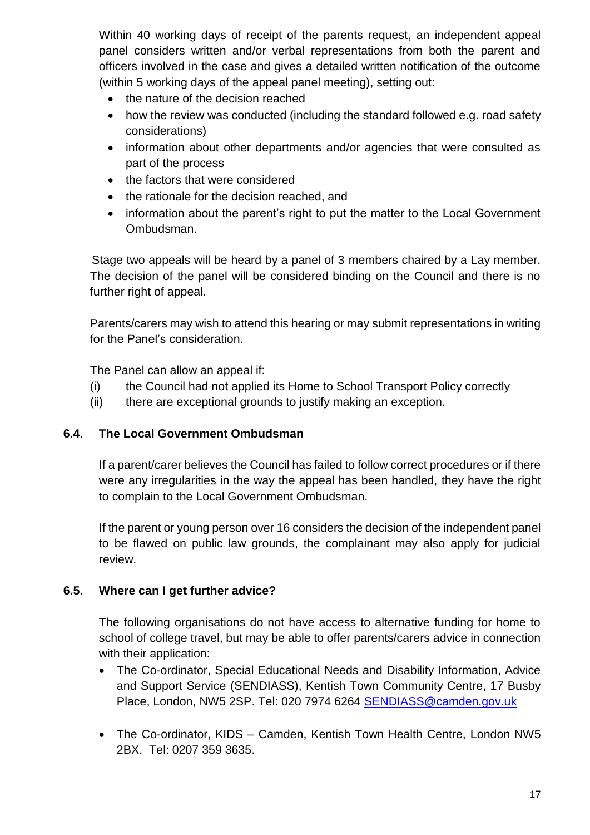Within 40 working days of receipt of the parents request, an independent appeal panel considers written and/or verbal representations from both the parent and officers involved in the case and gives a detailed written notification of the outcome (within 5 working days of the appeal panel meeting), setting out:

- the nature of the decision reached
- how the review was conducted (including the standard followed e.g. road safety considerations)
- information about other departments and/or agencies that were consulted as part of the process
- the factors that were considered
- the rationale for the decision reached, and
- information about the parent's right to put the matter to the Local Government Ombudsman.

Stage two appeals will be heard by a panel of 3 members chaired by a Lay member. The decision of the panel will be considered binding on the Council and there is no further right of appeal.

Parents/carers may wish to attend this hearing or may submit representations in writing for the Panel's consideration.

The Panel can allow an appeal if:

- (i) the Council had not applied its Home to School Transport Policy correctly
- (ii) there are exceptional grounds to justify making an exception.

## <span id="page-16-0"></span>**6.4. The Local Government Ombudsman**

If a parent/carer believes the Council has failed to follow correct procedures or if there were any irregularities in the way the appeal has been handled, they have the right to complain to the Local Government Ombudsman.

If the parent or young person over 16 considers the decision of the independent panel to be flawed on public law grounds, the complainant may also apply for judicial review.

## <span id="page-16-1"></span>**6.5. Where can I get further advice?**

The following organisations do not have access to alternative funding for home to school of college travel, but may be able to offer parents/carers advice in connection with their application:

- The Co-ordinator, Special Educational Needs and Disability Information, Advice and Support Service (SENDIASS), Kentish Town Community Centre, 17 Busby Place, London, NW5 2SP. Tel: 020 7974 6264 [SENDIASS@camden.gov.uk](mailto:SENDIASS@camden.gov.uk)
- The Co-ordinator, KIDS Camden, Kentish Town Health Centre, London NW5 2BX. Tel: 0207 359 3635.